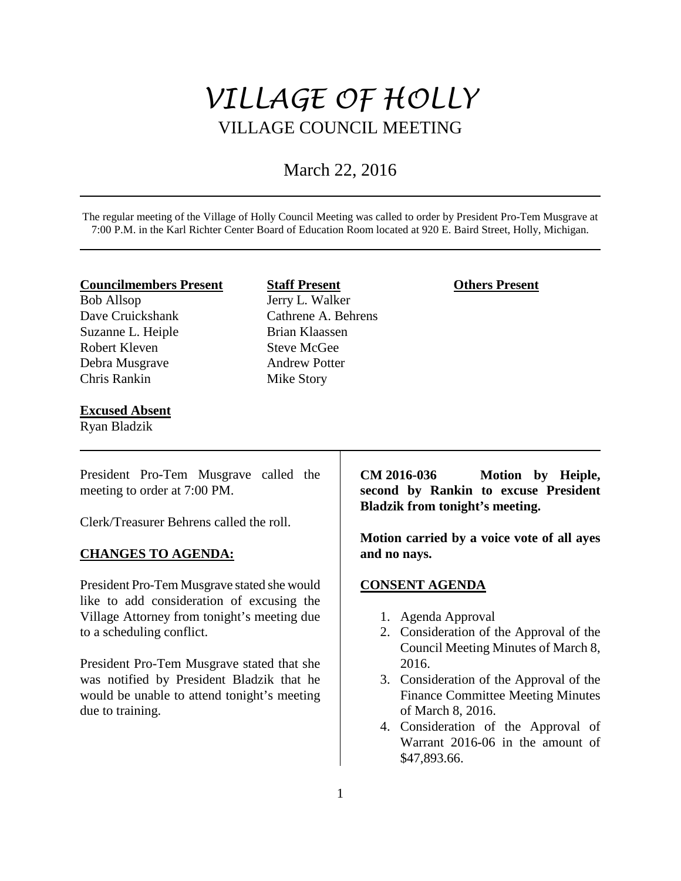# *VILLAGE OF HOLLY* VILLAGE COUNCIL MEETING

# March 22, 2016

The regular meeting of the Village of Holly Council Meeting was called to order by President Pro-Tem Musgrave at 7:00 P.M. in the Karl Richter Center Board of Education Room located at 920 E. Baird Street, Holly, Michigan.

#### **Councilmembers Present**

Bob Allsop Dave Cruickshank Suzanne L. Heiple Robert Kleven Debra Musgrave Chris Rankin

#### **Excused Absent**

Ryan Bladzik

**Staff Present** Jerry L. Walker Cathrene A. Behrens Brian Klaassen Steve McGee Andrew Potter Mike Story

#### **Others Present**

President Pro-Tem Musgrave called the meeting to order at 7:00 PM.

Clerk/Treasurer Behrens called the roll.

# **CHANGES TO AGENDA:**

President Pro-Tem Musgrave stated she would like to add consideration of excusing the Village Attorney from tonight's meeting due to a scheduling conflict.

President Pro-Tem Musgrave stated that she was notified by President Bladzik that he would be unable to attend tonight's meeting due to training.

**CM 2016-036 Motion by Heiple, second by Rankin to excuse President Bladzik from tonight's meeting.** 

**Motion carried by a voice vote of all ayes and no nays.** 

# **CONSENT AGENDA**

- 1. Agenda Approval
- 2. Consideration of the Approval of the Council Meeting Minutes of March 8, 2016.
- 3. Consideration of the Approval of the Finance Committee Meeting Minutes of March 8, 2016.
- 4. Consideration of the Approval of Warrant 2016-06 in the amount of \$47,893.66.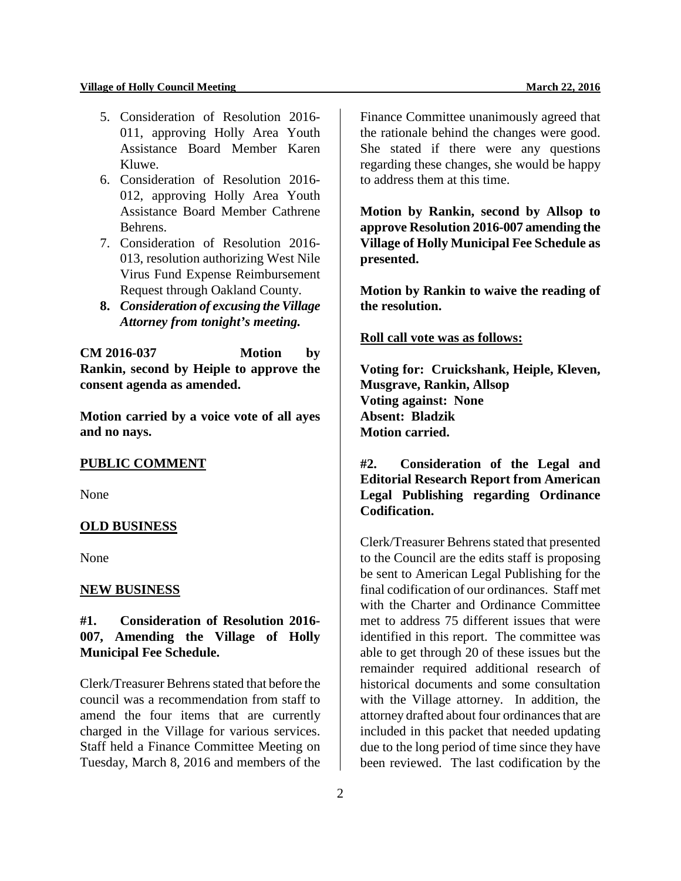- 5. Consideration of Resolution 2016- 011, approving Holly Area Youth Assistance Board Member Karen Kluwe.
- 6. Consideration of Resolution 2016- 012, approving Holly Area Youth Assistance Board Member Cathrene Behrens.
- 7. Consideration of Resolution 2016- 013, resolution authorizing West Nile Virus Fund Expense Reimbursement Request through Oakland County.
- **8.** *Consideration of excusing the Village Attorney from tonight's meeting.*

**CM 2016-037 Motion by Rankin, second by Heiple to approve the consent agenda as amended.**

**Motion carried by a voice vote of all ayes and no nays.** 

#### **PUBLIC COMMENT**

None

# **OLD BUSINESS**

None

#### **NEW BUSINESS**

# **#1. Consideration of Resolution 2016- 007, Amending the Village of Holly Municipal Fee Schedule.**

Clerk/Treasurer Behrens stated that before the council was a recommendation from staff to amend the four items that are currently charged in the Village for various services. Staff held a Finance Committee Meeting on Tuesday, March 8, 2016 and members of the

Finance Committee unanimously agreed that the rationale behind the changes were good. She stated if there were any questions regarding these changes, she would be happy to address them at this time.

**Motion by Rankin, second by Allsop to approve Resolution 2016-007 amending the Village of Holly Municipal Fee Schedule as presented.** 

**Motion by Rankin to waive the reading of the resolution.**

#### **Roll call vote was as follows:**

**Voting for: Cruickshank, Heiple, Kleven, Musgrave, Rankin, Allsop Voting against: None Absent: Bladzik Motion carried.** 

**#2. Consideration of the Legal and Editorial Research Report from American Legal Publishing regarding Ordinance Codification.**

Clerk/Treasurer Behrens stated that presented to the Council are the edits staff is proposing be sent to American Legal Publishing for the final codification of our ordinances. Staff met with the Charter and Ordinance Committee met to address 75 different issues that were identified in this report. The committee was able to get through 20 of these issues but the remainder required additional research of historical documents and some consultation with the Village attorney. In addition, the attorney drafted about four ordinances that are included in this packet that needed updating due to the long period of time since they have been reviewed. The last codification by the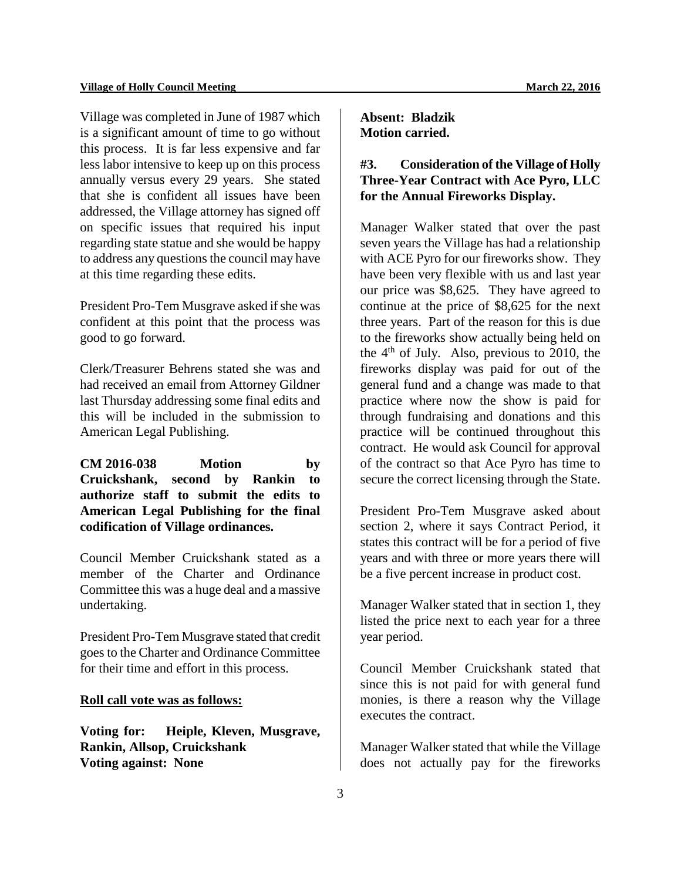Village was completed in June of 1987 which is a significant amount of time to go without this process. It is far less expensive and far less labor intensive to keep up on this process annually versus every 29 years. She stated that she is confident all issues have been addressed, the Village attorney has signed off on specific issues that required his input regarding state statue and she would be happy to address any questions the council may have at this time regarding these edits.

President Pro-Tem Musgrave asked if she was confident at this point that the process was good to go forward.

Clerk/Treasurer Behrens stated she was and had received an email from Attorney Gildner last Thursday addressing some final edits and this will be included in the submission to American Legal Publishing.

**CM 2016-038 Motion by Cruickshank, second by Rankin to authorize staff to submit the edits to American Legal Publishing for the final codification of Village ordinances.** 

Council Member Cruickshank stated as a member of the Charter and Ordinance Committee this was a huge deal and a massive undertaking.

President Pro-Tem Musgrave stated that credit goes to the Charter and Ordinance Committee for their time and effort in this process.

#### **Roll call vote was as follows:**

**Voting for: Heiple, Kleven, Musgrave, Rankin, Allsop, Cruickshank Voting against: None**

**Absent: Bladzik Motion carried.** 

# **#3. Consideration of the Village of Holly Three-Year Contract with Ace Pyro, LLC for the Annual Fireworks Display.**

Manager Walker stated that over the past seven years the Village has had a relationship with ACE Pyro for our fireworks show. They have been very flexible with us and last year our price was \$8,625. They have agreed to continue at the price of \$8,625 for the next three years. Part of the reason for this is due to the fireworks show actually being held on the  $4<sup>th</sup>$  of July. Also, previous to 2010, the fireworks display was paid for out of the general fund and a change was made to that practice where now the show is paid for through fundraising and donations and this practice will be continued throughout this contract. He would ask Council for approval of the contract so that Ace Pyro has time to secure the correct licensing through the State.

President Pro-Tem Musgrave asked about section 2, where it says Contract Period, it states this contract will be for a period of five years and with three or more years there will be a five percent increase in product cost.

Manager Walker stated that in section 1, they listed the price next to each year for a three year period.

Council Member Cruickshank stated that since this is not paid for with general fund monies, is there a reason why the Village executes the contract.

Manager Walker stated that while the Village does not actually pay for the fireworks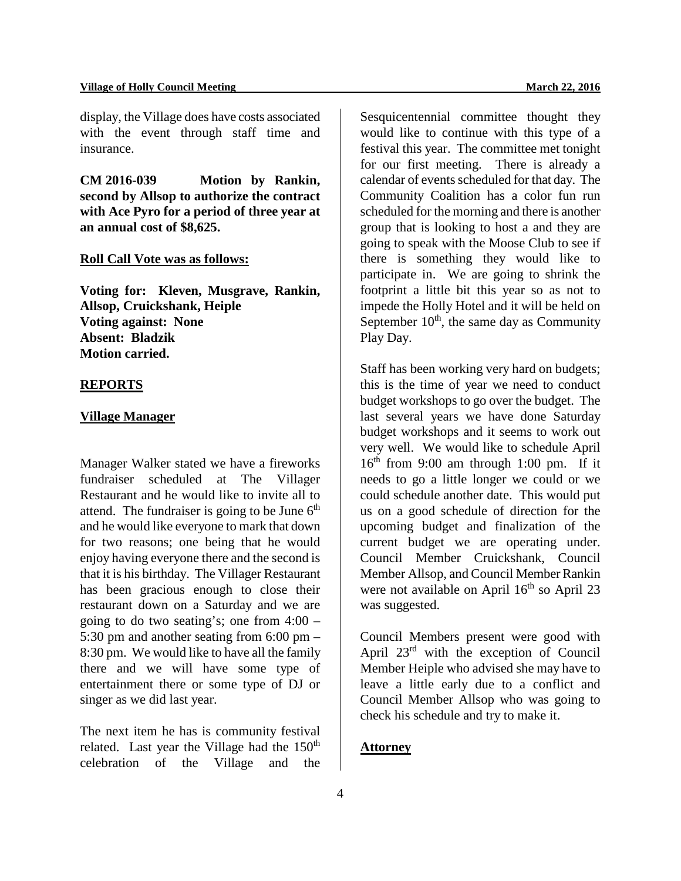#### **Village of Holly Council Meeting 22, 2016**

display, the Village does have costs associated with the event through staff time and insurance.

**CM 2016-039 Motion by Rankin, second by Allsop to authorize the contract with Ace Pyro for a period of three year at an annual cost of \$8,625.** 

#### **Roll Call Vote was as follows:**

**Voting for: Kleven, Musgrave, Rankin, Allsop, Cruickshank, Heiple Voting against: None Absent: Bladzik Motion carried.** 

# **REPORTS**

#### **Village Manager**

Manager Walker stated we have a fireworks fundraiser scheduled at The Villager Restaurant and he would like to invite all to attend. The fundraiser is going to be June  $6<sup>th</sup>$ and he would like everyone to mark that down for two reasons; one being that he would enjoy having everyone there and the second is that it is his birthday. The Villager Restaurant has been gracious enough to close their restaurant down on a Saturday and we are going to do two seating's; one from 4:00 – 5:30 pm and another seating from 6:00 pm – 8:30 pm. We would like to have all the family there and we will have some type of entertainment there or some type of DJ or singer as we did last year.

The next item he has is community festival related. Last year the Village had the  $150<sup>th</sup>$ celebration of the Village and the

Sesquicentennial committee thought they would like to continue with this type of a festival this year. The committee met tonight for our first meeting. There is already a calendar of events scheduled for that day. The Community Coalition has a color fun run scheduled for the morning and there is another group that is looking to host a and they are going to speak with the Moose Club to see if there is something they would like to participate in. We are going to shrink the footprint a little bit this year so as not to impede the Holly Hotel and it will be held on September  $10<sup>th</sup>$ , the same day as Community Play Day.

Staff has been working very hard on budgets; this is the time of year we need to conduct budget workshops to go over the budget. The last several years we have done Saturday budget workshops and it seems to work out very well. We would like to schedule April  $16<sup>th</sup>$  from 9:00 am through 1:00 pm. If it needs to go a little longer we could or we could schedule another date. This would put us on a good schedule of direction for the upcoming budget and finalization of the current budget we are operating under. Council Member Cruickshank, Council Member Allsop, and Council Member Rankin were not available on April  $16<sup>th</sup>$  so April 23 was suggested.

Council Members present were good with April  $23<sup>rd</sup>$  with the exception of Council Member Heiple who advised she may have to leave a little early due to a conflict and Council Member Allsop who was going to check his schedule and try to make it.

# **Attorney**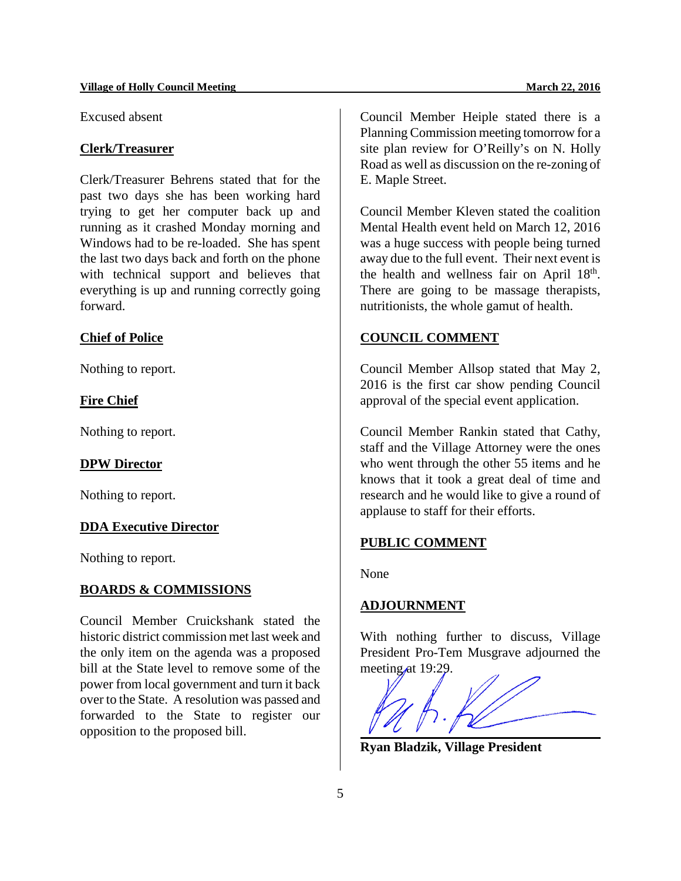Excused absent

# **Clerk/Treasurer**

Clerk/Treasurer Behrens stated that for the past two days she has been working hard trying to get her computer back up and running as it crashed Monday morning and Windows had to be re-loaded. She has spent the last two days back and forth on the phone with technical support and believes that everything is up and running correctly going forward.

# **Chief of Police**

Nothing to report.

#### **Fire Chief**

Nothing to report.

#### **DPW Director**

Nothing to report.

#### **DDA Executive Director**

Nothing to report.

#### **BOARDS & COMMISSIONS**

Council Member Cruickshank stated the historic district commission met last week and the only item on the agenda was a proposed bill at the State level to remove some of the power from local government and turn it back over to the State. A resolution was passed and forwarded to the State to register our opposition to the proposed bill.

Council Member Heiple stated there is a Planning Commission meeting tomorrow for a site plan review for O'Reilly's on N. Holly Road as well as discussion on the re-zoning of E. Maple Street.

Council Member Kleven stated the coalition Mental Health event held on March 12, 2016 was a huge success with people being turned away due to the full event. Their next event is the health and wellness fair on April  $18<sup>th</sup>$ . There are going to be massage therapists, nutritionists, the whole gamut of health.

### **COUNCIL COMMENT**

Council Member Allsop stated that May 2, 2016 is the first car show pending Council approval of the special event application.

Council Member Rankin stated that Cathy, staff and the Village Attorney were the ones who went through the other 55 items and he knows that it took a great deal of time and research and he would like to give a round of applause to staff for their efforts.

# **PUBLIC COMMENT**

None

# **ADJOURNMENT**

With nothing further to discuss, Village President Pro-Tem Musgrave adjourned the meeting at 19:29.



**Ryan Bladzik, Village President**